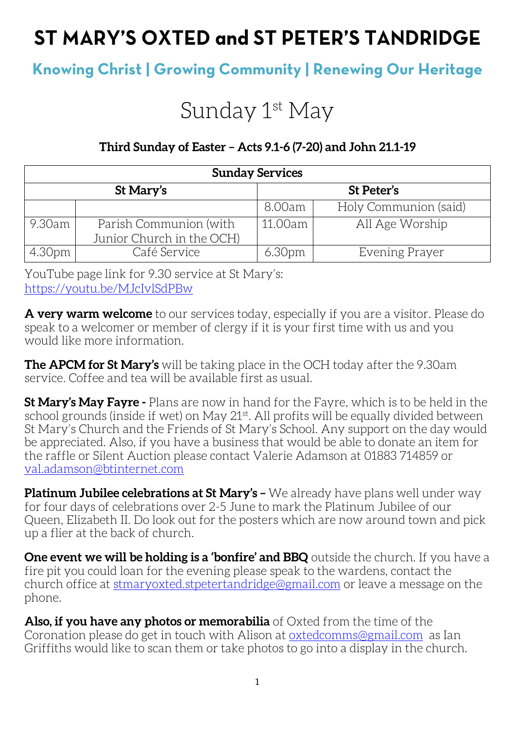# ST MARY'S OXTED and ST PETER'S TANDRIDGE

# **Knowing Christ | Growing Community | Renewing Our Heritage**

# Sunday 1<sup>st</sup> May

## **Third Sunday of Easter – Acts 9.1-6 (7-20) and John 21.1-19**

| <b>Sunday Services</b> |                                                     |                    |                       |  |
|------------------------|-----------------------------------------------------|--------------------|-----------------------|--|
| St Mary's              |                                                     | St Peter's         |                       |  |
|                        |                                                     | 8.00am             | Holy Communion (said) |  |
| 9.30am                 | Parish Communion (with<br>Junior Church in the OCH) | 11.00am            | All Age Worship       |  |
| 4.30pm                 | Café Service                                        | 6.30 <sub>pm</sub> | Evening Prayer        |  |

YouTube page link for 9.30 service at St Mary's: <https://youtu.be/MJcIvlSdPBw>

**A very warm welcome** to our services today, especially if you are a visitor. Please do speak to a welcomer or member of clergy if it is your first time with us and you would like more information.

**The APCM for St Mary's** will be taking place in the OCH today after the 9.30am service. Coffee and tea will be available first as usual.

**St Mary's May Fayre -** Plans are now in hand for the Fayre, which is to be held in the school grounds (inside if wet) on May 21<sup>st</sup>. All profits will be equally divided between St Mary's Church and the Friends of St Mary's School. Any support on the day would be appreciated. Also, if you have a business that would be able to donate an item for the raffle or Silent Auction please contact Valerie Adamson at 01883 714859 or [val.adamson@btinternet.com](mailto:val.adamson@btinternet.com)

**Platinum Jubilee celebrations at St Mary's –** We already have plans well under way for four days of celebrations over 2-5 June to mark the Platinum Jubilee of our Queen, Elizabeth II. Do look out for the posters which are now around town and pick up a flier at the back of church.

**One event we will be holding is a 'bonfire' and BBQ** outside the church. If you have a fire pit you could loan for the evening please speak to the wardens, contact the church office at [stmaryoxted.stpetertandridge@gmail.com](mailto:stmaryoxted.stpetertandridge@gmail.com) or leave a message on the phone.

**Also, if you have any photos or memorabilia** of Oxted from the time of the Coronation please do get in touch with Alison at [oxtedcomms@gmail.com](mailto:oxtedcomms@gmail.com) as Ian Griffiths would like to scan them or take photos to go into a display in the church.